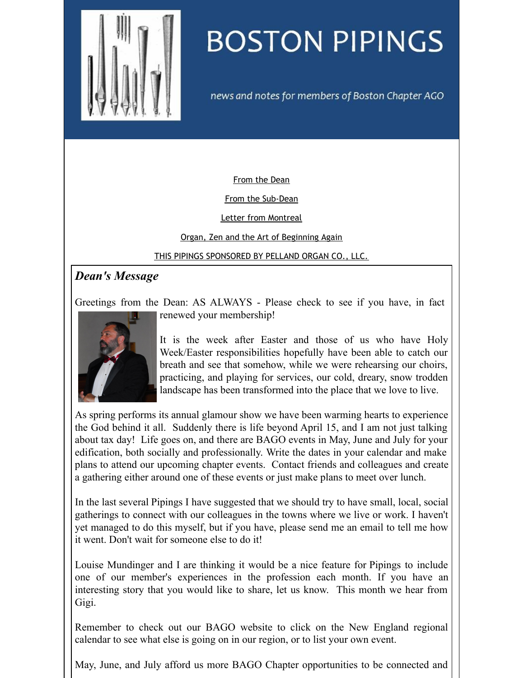<span id="page-0-0"></span>

## **BOSTON PIPINGS**

news and notes for members of Boston Chapter AGO

[From](#page-0-0) the Dean

From the [Sub-Dean](#page-0-0)

Letter from [Montreal](#page-0-0)

Organ, Zen and the Art of [Beginning](#page-0-0) Again

THIS PIPINGS [SPONSORED](#page-0-0) BY PELLAND ORGAN CO., LLC.

## *Dean's Message*

Greetings from the Dean: AS ALWAYS - Please check to see if you have, in fact



renewed your membership!

It is the week after Easter and those of us who have Holy Week/Easter responsibilities hopefully have been able to catch our breath and see that somehow, while we were rehearsing our choirs, practicing, and playing for services, our cold, dreary, snow trodden landscape has been transformed into the place that we love to live.

As spring performs its annual glamour show we have been warming hearts to experience the God behind it all. Suddenly there is life beyond April 15, and I am not just talking about tax day! Life goes on, and there are BAGO events in May, June and July for your edification, both socially and professionally. Write the dates in your calendar and make plans to attend our upcoming chapter events. Contact friends and colleagues and create a gathering either around one of these events or just make plans to meet over lunch.

In the last several Pipings I have suggested that we should try to have small, local, social gatherings to connect with our colleagues in the towns where we live or work. I haven't yet managed to do this myself, but if you have, please send me an email to tell me how it went. Don't wait for someone else to do it!

Louise Mundinger and I are thinking it would be a nice feature for Pipings to include one of our member's experiences in the profession each month. If you have an interesting story that you would like to share, let us know. This month we hear from Gigi.

Remember to check out our BAGO website to click on the New England regional calendar to see what else is going on in our region, or to list your own event.

May, June, and July afford us more BAGO Chapter opportunities to be connected and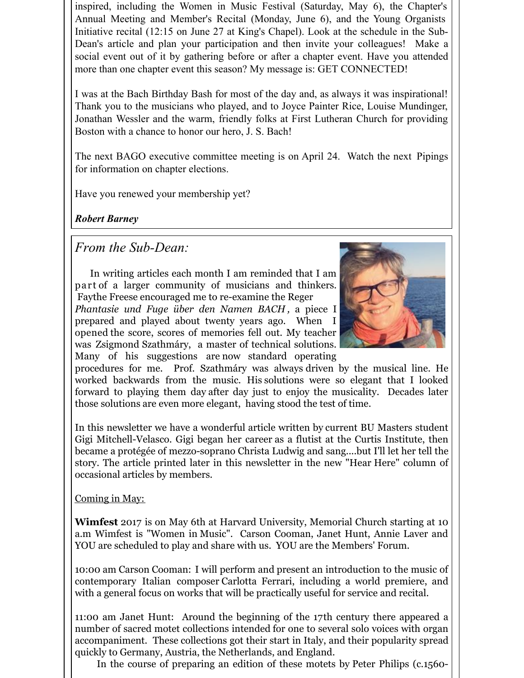inspired, including the Women in Music Festival (Saturday, May 6), the Chapter's Annual Meeting and Member's Recital (Monday, June 6), and the Young Organists Initiative recital (12:15 on June 27 at King's Chapel). Look at the schedule in the Sub-Dean's article and plan your participation and then invite your colleagues! Make a social event out of it by gathering before or after a chapter event. Have you attended more than one chapter event this season? My message is: GET CONNECTED!

I was at the Bach Birthday Bash for most of the day and, as always it was inspirational! Thank you to the musicians who played, and to Joyce Painter Rice, Louise Mundinger, Jonathan Wessler and the warm, friendly folks at First Lutheran Church for providing Boston with a chance to honor our hero, J. S. Bach!

The next BAGO executive committee meeting is on April 24. Watch the next Pipings for information on chapter elections.

Have you renewed your membership yet?

*Robert Barney*

*From the Sub-Dean:*

In writing articles each month I am reminded that I am part of a larger community of musicians and thinkers. Faythe Freese encouraged me to re-examine the Reger *Phantasie und Fuge über den Namen BACH ,* a piece I prepared and played about twenty years ago. When I opened the score, scores of memories fell out. My teacher was Zsigmond Szathmáry, a master of technical solutions. Many of his suggestions are now standard operating



procedures for me. Prof. Szathmáry was always driven by the musical line. He worked backwards from the music. His solutions were so elegant that I looked forward to playing them day after day just to enjoy the musicality. Decades later those solutions are even more elegant, having stood the test of time.

In this newsletter we have a wonderful article written by current BU Masters student Gigi Mitchell-Velasco. Gigi began her career as a flutist at the Curtis Institute, then became a protégée of mezzo-soprano Christa Ludwig and sang....but I'll let her tell the story. The article printed later in this newsletter in the new "Hear Here" column of occasional articles by members.

Coming in May:

**Wimfest** 2017 is on May 6th at Harvard University, Memorial Church starting at 10 a.m Wimfest is "Women in Music". Carson Cooman, Janet Hunt, Annie Laver and YOU are scheduled to play and share with us. YOU are the Members' Forum.

10:00 am Carson Cooman: I will perform and present an introduction to the music of contemporary Italian composer Carlotta Ferrari, including a world premiere, and with a general focus on works that will be practically useful for service and recital.

11:00 am Janet Hunt: Around the beginning of the 17th century there appeared a number of sacred motet collections intended for one to several solo voices with organ accompaniment. These collections got their start in Italy, and their popularity spread quickly to Germany, Austria, the Netherlands, and England.

In the course of preparing an edition of these motets by Peter Philips (c.1560-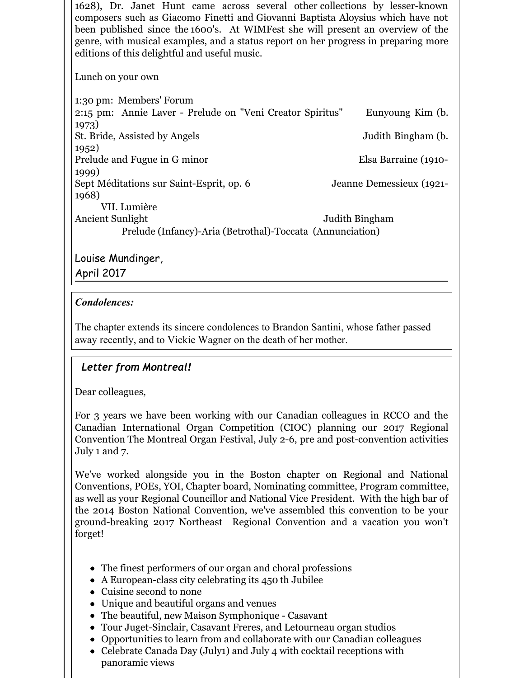1628), Dr. Janet Hunt came across several other collections by lesser-known composers such as Giacomo Finetti and Giovanni Baptista Aloysius which have not been published since the 1600's. At WIMFest she will present an overview of the genre, with musical examples, and a status report on her progress in preparing more editions of this delightful and useful music.

Lunch on your own

1:30 pm: Members' Forum 2:15 pm: Annie Laver - Prelude on "Veni Creator Spiritus" Eunyoung Kim (b. 1973) St. Bride, Assisted by Angels Judith Bingham (b. 1952) Prelude and Fugue in G minor Elsa Barraine (1910-1999) Sept Méditations sur Saint-Esprit, op. 6 Jeanne Demessieux (1921- 1968) VII. Lumière Ancient Sunlight Judith Bingham Prelude (Infancy)-Aria (Betrothal)-Toccata (Annunciation)

Louise Mundinger,

April 2017

## *Condolences:*

The chapter extends its sincere condolences to Brandon Santini, whose father passed away recently, and to Vickie Wagner on the death of her mother.

## *Letter from Montreal!*

Dear colleagues,

For 3 years we have been working with our Canadian colleagues in RCCO and the Canadian International Organ Competition (CIOC) planning our 2017 Regional Convention The Montreal Organ Festival, July 2-6, pre and post-convention activities July 1 and 7.

We've worked alongside you in the Boston chapter on Regional and National Conventions, POEs, YOI, Chapter board, Nominating committee, Program committee, as well as your Regional Councillor and National Vice President. With the high bar of the 2014 Boston National Convention, we've assembled this convention to be your ground-breaking 2017 Northeast Regional Convention and a vacation you won't forget!

- The finest performers of our organ and choral professions
- A European-class city celebrating its 450 th Jubilee
- Cuisine second to none
- Unique and beautiful organs and venues
- The beautiful, new Maison Symphonique Casavant
- Tour Juget-Sinclair, Casavant Freres, and Letourneau organ studios
- Opportunities to learn from and collaborate with our Canadian colleagues
- Celebrate Canada Day (July1) and July 4 with cocktail receptions with panoramic views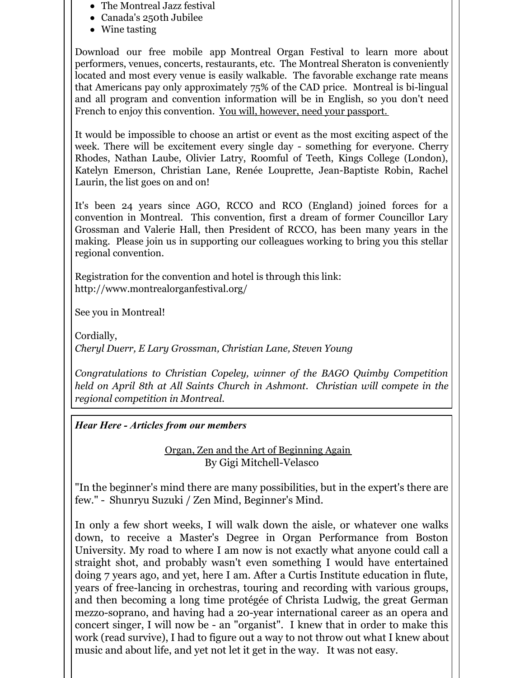- The Montreal Jazz festival
- Canada's 250th Jubilee
- Wine tasting

Download our free mobile app Montreal Organ Festival to learn more about performers, venues, concerts, restaurants, etc. The Montreal Sheraton is conveniently located and most every venue is easily walkable. The favorable exchange rate means that Americans pay only approximately 75% of the CAD price. Montreal is bi-lingual and all program and convention information will be in English, so you don't need French to enjoy this convention. You will, however, need your passport.

It would be impossible to choose an artist or event as the most exciting aspect of the week. There will be excitement every single day - something for everyone. Cherry Rhodes, Nathan Laube, Olivier Latry, Roomful of Teeth, Kings College (London), Katelyn Emerson, Christian Lane, Renée Louprette, Jean-Baptiste Robin, Rachel Laurin, the list goes on and on!

It's been 24 years since AGO, RCCO and RCO (England) joined forces for a convention in Montreal. This convention, first a dream of former Councillor Lary Grossman and Valerie Hall, then President of RCCO, has been many years in the making. Please join us in supporting our colleagues working to bring you this stellar regional convention.

Registration for the convention and hotel is through this link: http://www.montrealorganfestival.org/

See you in Montreal!

Cordially, *Cheryl Duerr, E Lary Grossman, Christian Lane, Steven Young*

*Congratulations to Christian Copeley, winner of the BAGO Quimby Competition held on April 8th at All Saints Church in Ashmont. Christian will compete in the regional competition in Montreal.*

*Hear Here - Articles from our members*

Organ, Zen and the Art of Beginning Again By Gigi Mitchell-Velasco

"In the beginner's mind there are many possibilities, but in the expert's there are few." - Shunryu Suzuki / Zen Mind, Beginner's Mind.

In only a few short weeks, I will walk down the aisle, or whatever one walks down, to receive a Master's Degree in Organ Performance from Boston University. My road to where I am now is not exactly what anyone could call a straight shot, and probably wasn't even something I would have entertained doing 7 years ago, and yet, here I am. After a Curtis Institute education in flute, years of free-lancing in orchestras, touring and recording with various groups, and then becoming a long time protégée of Christa Ludwig, the great German mezzo-soprano, and having had a 20-year international career as an opera and concert singer, I will now be - an "organist". I knew that in order to make this work (read survive), I had to figure out a way to not throw out what I knew about music and about life, and yet not let it get in the way. It was not easy.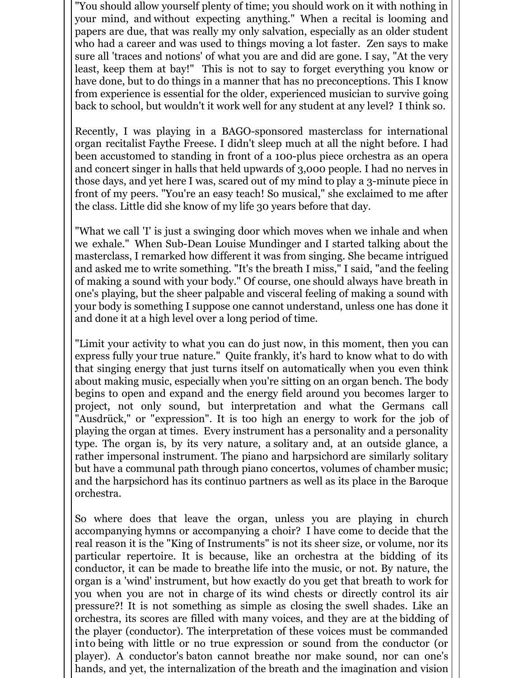"You should allow yourself plenty of time; you should work on it with nothing in your mind, and without expecting anything." When a recital is looming and papers are due, that was really my only salvation, especially as an older student who had a career and was used to things moving a lot faster. Zen says to make sure all 'traces and notions' of what you are and did are gone. I say, "At the very least, keep them at bay!" This is not to say to forget everything you know or have done, but to do things in a manner that has no preconceptions. This I know from experience is essential for the older, experienced musician to survive going back to school, but wouldn't it work well for any student at any level? I think so.

Recently, I was playing in a BAGO-sponsored masterclass for international organ recitalist Faythe Freese. I didn't sleep much at all the night before. I had been accustomed to standing in front of a 100-plus piece orchestra as an opera and concert singer in halls that held upwards of 3,000 people. I had no nerves in those days, and yet here I was, scared out of my mind to play a 3-minute piece in front of my peers. "You're an easy teach! So musical," she exclaimed to me after the class. Little did she know of my life 30 years before that day.

"What we call 'I' is just a swinging door which moves when we inhale and when we exhale." When Sub-Dean Louise Mundinger and I started talking about the masterclass, I remarked how different it was from singing. She became intrigued and asked me to write something. "It's the breath I miss," I said, "and the feeling of making a sound with your body." Of course, one should always have breath in one's playing, but the sheer palpable and visceral feeling of making a sound with your body is something I suppose one cannot understand, unless one has done it and done it at a high level over a long period of time.

"Limit your activity to what you can do just now, in this moment, then you can express fully your true nature." Quite frankly, it's hard to know what to do with that singing energy that just turns itself on automatically when you even think about making music, especially when you're sitting on an organ bench. The body begins to open and expand and the energy field around you becomes larger to project, not only sound, but interpretation and what the Germans call "Ausdrück," or "expression". It is too high an energy to work for the job of playing the organ at times. Every instrument has a personality and a personality type. The organ is, by its very nature, a solitary and, at an outside glance, a rather impersonal instrument. The piano and harpsichord are similarly solitary but have a communal path through piano concertos, volumes of chamber music; and the harpsichord has its continuo partners as well as its place in the Baroque orchestra.

So where does that leave the organ, unless you are playing in church accompanying hymns or accompanying a choir? I have come to decide that the real reason it is the "King of Instruments" is not its sheer size, or volume, nor its particular repertoire. It is because, like an orchestra at the bidding of its conductor, it can be made to breathe life into the music, or not. By nature, the organ is a 'wind' instrument, but how exactly do you get that breath to work for you when you are not in charge of its wind chests or directly control its air pressure?! It is not something as simple as closing the swell shades. Like an orchestra, its scores are filled with many voices, and they are at the bidding of the player (conductor). The interpretation of these voices must be commanded into being with little or no true expression or sound from the conductor (or player). A conductor's baton cannot breathe nor make sound, nor can one's hands, and yet, the internalization of the breath and the imagination and vision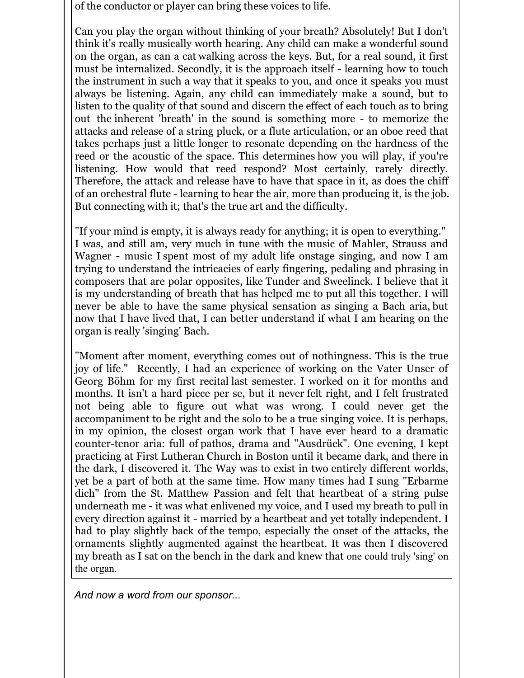of the conductor or player can bring these voices to life.

Can you play the organ without thinking of your breath? Absolutely! But I don't think it's really musically worth hearing. Any child can make a wonderful sound on the organ, as can a cat walking across the keys. But, for a real sound, it first must be internalized. Secondly, it is the approach itself - learning how to touch the instrument in such a way that it speaks to you, and once it speaks you must always be listening. Again, any child can immediately make a sound, but to listen to the quality of that sound and discern the effect of each touch as to bring out the inherent 'breath' in the sound is something more - to memorize the attacks and release of a string pluck, or a flute articulation, or an oboe reed that takes perhaps just a little longer to resonate depending on the hardness of the reed or the acoustic of the space. This determines how you will play, if you're listening. How would that reed respond? Most certainly, rarely directly. Therefore, the attack and release have to have that space in it, as does the chiff of an orchestral flute - learning to hear the air, more than producing it, is the job. But connecting with it; that's the true art and the difficulty.

"If your mind is empty, it is always ready for anything; it is open to everything." I was, and still am, very much in tune with the music of Mahler, Strauss and Wagner - music I spent most of my adult life onstage singing, and now I am trying to understand the intricacies of early fingering, pedaling and phrasing in composers that are polar opposites, like Tunder and Sweelinck. I believe that it is my understanding of breath that has helped me to put all this together. I will never be able to have the same physical sensation as singing a Bach aria, but now that I have lived that, I can better understand if what I am hearing on the organ is really 'singing' Bach.

"Moment after moment, everything comes out of nothingness. This is the true joy of life." Recently, I had an experience of working on the Vater Unser of Georg Böhm for my first recital last semester. I worked on it for months and months. It isn't a hard piece per se, but it never felt right, and I felt frustrated not being able to figure out what was wrong. I could never get the accompaniment to be right and the solo to be a true singing voice. It is perhaps, in my opinion, the closest organ work that I have ever heard to a dramatic counter-tenor aria: full of pathos, drama and "Ausdrück". One evening, I kept practicing at First Lutheran Church in Boston until it became dark, and there in the dark, I discovered it. The Way was to exist in two entirely different worlds, yet be a part of both at the same time. How many times had I sung "Erbarme dich" from the St. Matthew Passion and felt that heartbeat of a string pulse underneath me - it was what enlivened my voice, and I used my breath to pull in every direction against it - married by a heartbeat and yet totally independent. I had to play slightly back of the tempo, especially the onset of the attacks, the ornaments slightly augmented against the heartbeat. It was then I discovered my breath as I sat on the bench in the dark and knew that one could truly 'sing' on the organ.

*And now a word from our sponsor...*